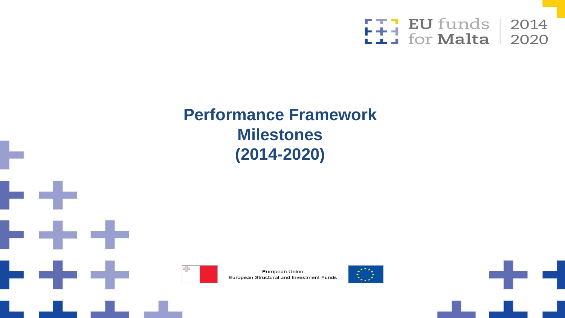

# **Performance Framework Milestones (2014-2020)**



European Union European Structural and Investment Funds



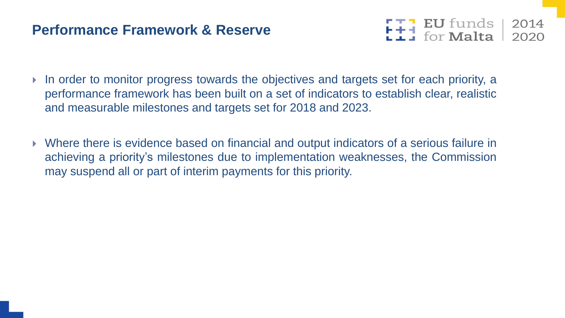#### **Performance Framework & Reserve**



- In order to monitor progress towards the objectives and targets set for each priority, a performance framework has been built on a set of indicators to establish clear, realistic and measurable milestones and targets set for 2018 and 2023.
- Where there is evidence based on financial and output indicators of a serious failure in achieving a priority's milestones due to implementation weaknesses, the Commission may suspend all or part of interim payments for this priority.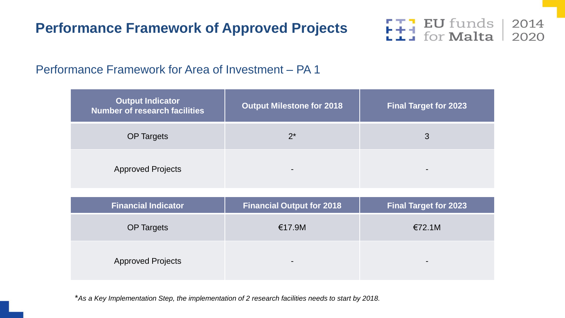

#### Performance Framework for Area of Investment – PA 1

| <b>Output Indicator</b><br><b>Number of research facilities</b> | <b>Output Milestone for 2018</b> | <b>Final Target for 2023</b> |
|-----------------------------------------------------------------|----------------------------------|------------------------------|
| <b>OP Targets</b>                                               | $2^*$                            | 3                            |
| <b>Approved Projects</b>                                        |                                  |                              |

| <b>Financial Indicator</b> | <b>Financial Output for 2018</b> | <b>Final Target for 2023</b> |
|----------------------------|----------------------------------|------------------------------|
| <b>OP Targets</b>          | €17.9M                           | €72.1M                       |
| <b>Approved Projects</b>   | $\overline{\phantom{0}}$         | $\qquad \qquad \blacksquare$ |

\**As a Key Implementation Step, the implementation of 2 research facilities needs to start by 2018.*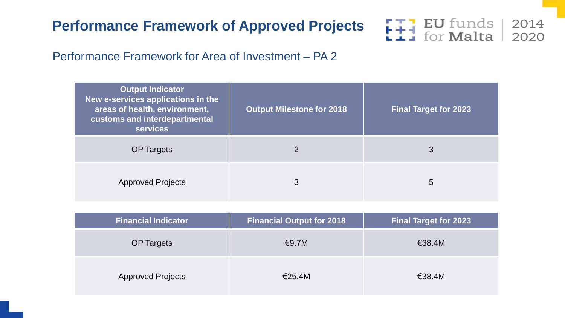

| <b>Output Indicator</b><br>New e-services applications in the<br>areas of health, environment,<br>customs and interdepartmental<br><b>services</b> | <b>Output Milestone for 2018</b> | <b>Final Target for 2023</b> |
|----------------------------------------------------------------------------------------------------------------------------------------------------|----------------------------------|------------------------------|
| <b>OP Targets</b>                                                                                                                                  |                                  | 3                            |
| <b>Approved Projects</b>                                                                                                                           | 3                                | 5                            |

| <b>Financial Indicator</b> | <b>Financial Output for 2018</b> | <b>Final Target for 2023</b> |
|----------------------------|----------------------------------|------------------------------|
| <b>OP Targets</b>          | €9.7M                            | €38.4M                       |
| <b>Approved Projects</b>   | €25.4M                           | €38.4M                       |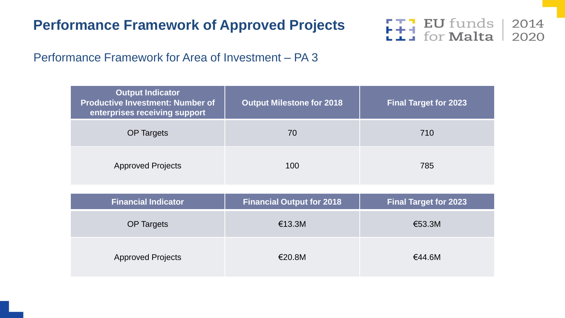

| <b>Output Indicator</b><br><b>Productive Investment: Number of</b><br>enterprises receiving support | <b>Output Milestone for 2018</b> | <b>Final Target for 2023</b> |
|-----------------------------------------------------------------------------------------------------|----------------------------------|------------------------------|
| <b>OP</b> Targets                                                                                   | 70                               | 710                          |
| <b>Approved Projects</b>                                                                            | 100                              | 785                          |
| <b>Financial Indicator</b>                                                                          | <b>Financial Output for 2018</b> | <b>Final Target for 2023</b> |
| <b>OP</b> Targets                                                                                   | €13.3M                           | €53.3M                       |
| <b>Approved Projects</b>                                                                            | €20.8M                           | €44.6M                       |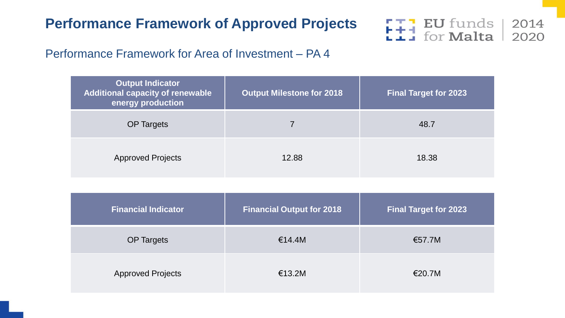

| <b>Output Indicator</b><br><b>Additional capacity of renewable</b><br>energy production | <b>Output Milestone for 2018</b> | <b>Final Target for 2023</b> |
|-----------------------------------------------------------------------------------------|----------------------------------|------------------------------|
| <b>OP Targets</b>                                                                       |                                  | 48.7                         |
| <b>Approved Projects</b>                                                                | 12.88                            | 18.38                        |

| <b>Financial Indicator</b> | <b>Financial Output for 2018</b> | <b>Final Target for 2023</b> |
|----------------------------|----------------------------------|------------------------------|
| <b>OP Targets</b>          | €14.4M                           | €57.7M                       |
| <b>Approved Projects</b>   | €13.2M                           | €20.7M                       |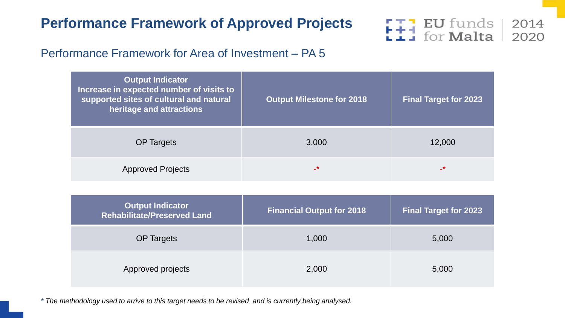

#### Performance Framework for Area of Investment – PA 5

| <b>Output Indicator</b><br>Increase in expected number of visits to<br>supported sites of cultural and natural<br>heritage and attractions | <b>Output Milestone for 2018</b> | <b>Final Target for 2023</b> |
|--------------------------------------------------------------------------------------------------------------------------------------------|----------------------------------|------------------------------|
| <b>OP</b> Targets                                                                                                                          | 3,000                            | 12,000                       |
| <b>Approved Projects</b>                                                                                                                   | –*                               | _*                           |

| <b>Output Indicator</b><br><b>Rehabilitate/Preserved Land</b> | <b>Financial Output for 2018</b> | <b>Final Target for 2023</b> |
|---------------------------------------------------------------|----------------------------------|------------------------------|
| <b>OP Targets</b>                                             | 1,000                            | 5,000                        |
| Approved projects                                             | 2,000                            | 5,000                        |

\* The methodology used to arrive to this target needs to be revised and is currently being analysed.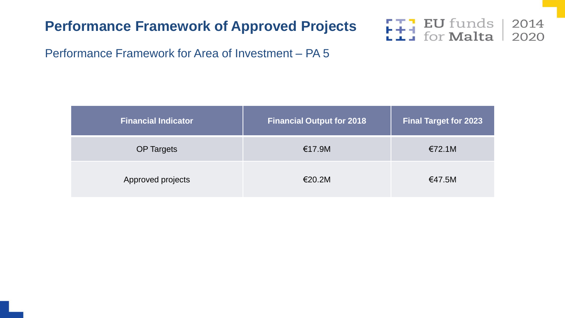

| <b>Financial Indicator</b> | <b>Financial Output for 2018</b> | <b>Final Target for 2023</b> |
|----------------------------|----------------------------------|------------------------------|
| <b>OP Targets</b>          | €17.9M                           | €72.1M                       |
| Approved projects          | €20.2M                           | €47.5M                       |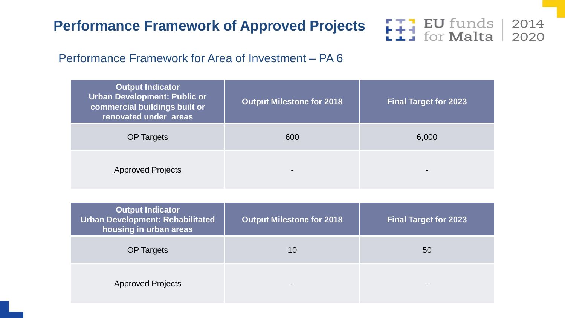

| <b>Output Indicator</b><br>Urban Development: Public or<br>commercial buildings built or<br>renovated under areas | <b>Output Milestone for 2018</b> | <b>Final Target for 2023</b> |
|-------------------------------------------------------------------------------------------------------------------|----------------------------------|------------------------------|
| <b>OP Targets</b>                                                                                                 | 600                              | 6,000                        |
| <b>Approved Projects</b>                                                                                          | $\overline{\phantom{0}}$         |                              |

| <b>Output Indicator</b><br><b>Urban Development: Rehabilitated</b><br>housing in urban areas | <b>Output Milestone for 2018</b> | <b>Final Target for 2023</b> |
|----------------------------------------------------------------------------------------------|----------------------------------|------------------------------|
| <b>OP Targets</b>                                                                            | 10                               | 50                           |
| <b>Approved Projects</b>                                                                     | $\overline{\phantom{0}}$         |                              |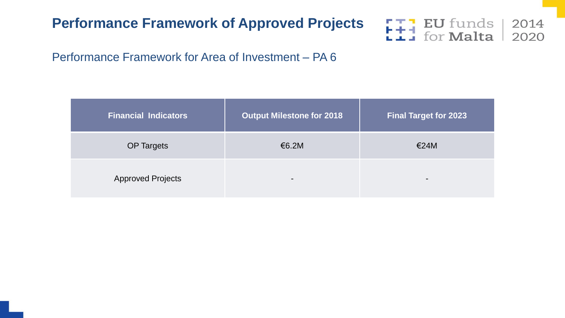

| <b>Financial Indicators</b> | <b>Output Milestone for 2018</b> | <b>Final Target for 2023</b> |
|-----------------------------|----------------------------------|------------------------------|
| <b>OP Targets</b>           | €6.2M                            | €24M                         |
| <b>Approved Projects</b>    | -                                |                              |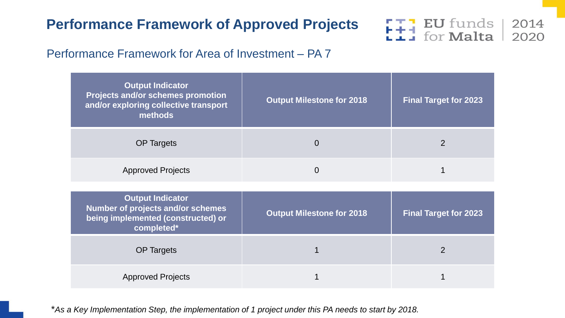

#### Performance Framework for Area of Investment – PA 7

| <b>Output Indicator</b><br><b>Projects and/or schemes promotion</b><br>and/or exploring collective transport<br>methods | <b>Output Milestone for 2018</b> | <b>Final Target for 2023</b> |
|-------------------------------------------------------------------------------------------------------------------------|----------------------------------|------------------------------|
| <b>OP</b> Targets                                                                                                       |                                  |                              |
| <b>Approved Projects</b>                                                                                                |                                  |                              |

| <b>Output Indicator</b><br>Number of projects and/or schemes<br>being implemented (constructed) or<br>completed* | <b>Output Milestone for 2018</b> | <b>Final Target for 2023</b> |
|------------------------------------------------------------------------------------------------------------------|----------------------------------|------------------------------|
| <b>OP Targets</b>                                                                                                |                                  |                              |
| <b>Approved Projects</b>                                                                                         |                                  |                              |

\**As a Key Implementation Step, the implementation of 1 project under this PA needs to start by 2018.*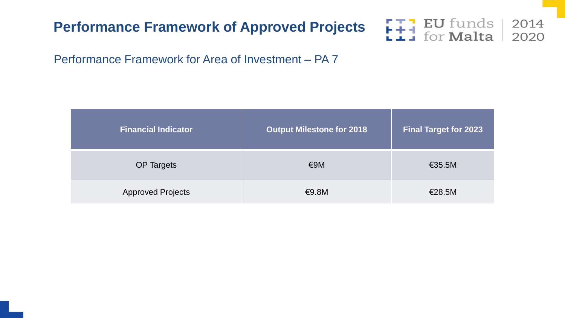

| <b>Financial Indicator</b> | <b>Output Milestone for 2018</b> | <b>Final Target for 2023</b> |
|----------------------------|----------------------------------|------------------------------|
| <b>OP Targets</b>          | €9 $M$                           | €35.5M                       |
| <b>Approved Projects</b>   | €9.8M                            | €28.5M                       |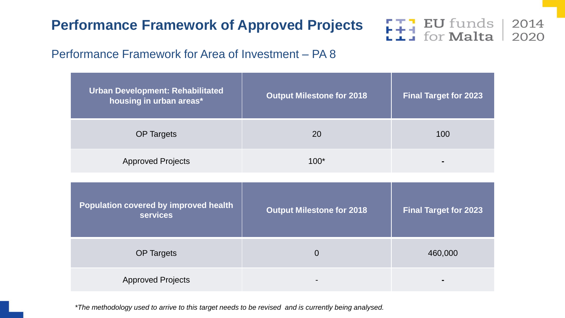

#### Performance Framework for Area of Investment – PA 8

| <b>Urban Development: Rehabilitated</b><br>housing in urban areas* | <b>Output Milestone for 2018</b> | <b>Final Target for 2023</b> |
|--------------------------------------------------------------------|----------------------------------|------------------------------|
| <b>OP Targets</b>                                                  | 20                               | 100                          |
| <b>Approved Projects</b>                                           | $100*$                           | $\blacksquare$               |
| Population covered by improved health<br><b>services</b>           | <b>Output Milestone for 2018</b> | <b>Final Target for 2023</b> |
| <b>OP Targets</b>                                                  | $\overline{0}$                   | 460,000                      |
|                                                                    |                                  |                              |

*\*The methodology used to arrive to this target needs to be revised and is currently being analysed.*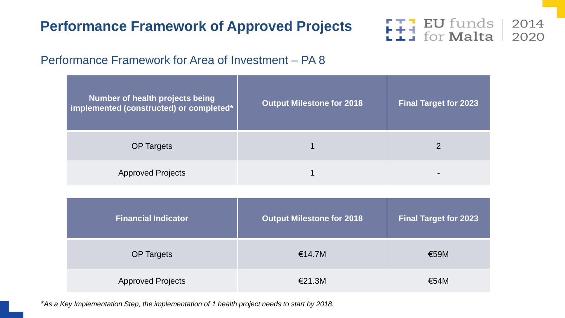

#### Performance Framework for Area of Investment – PA 8

| Number of health projects being<br>implemented (constructed) or completed* | <b>Output Milestone for 2018</b> | <b>Final Target for 2023</b> |
|----------------------------------------------------------------------------|----------------------------------|------------------------------|
| <b>OP Targets</b>                                                          |                                  |                              |
| <b>Approved Projects</b>                                                   |                                  | л.                           |

| <b>Financial Indicator</b> | <b>Output Milestone for 2018</b> | <b>Final Target for 2023</b> |
|----------------------------|----------------------------------|------------------------------|
| <b>OP Targets</b>          | €14.7M                           | €59M                         |
| <b>Approved Projects</b>   | €21.3M                           | €54M                         |

\**As a Key Implementation Step, the implementation of 1 health project needs to start by 2018.*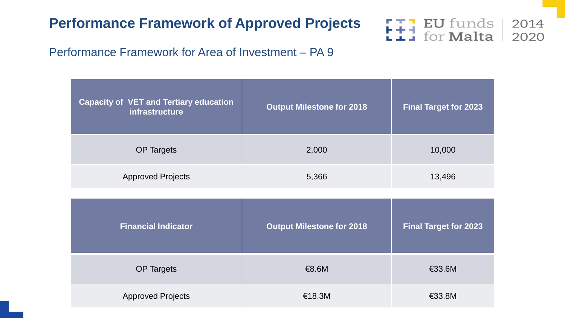

| <b>Capacity of VET and Tertiary education</b><br>infrastructure | <b>Output Milestone for 2018</b> | <b>Final Target for 2023</b> |
|-----------------------------------------------------------------|----------------------------------|------------------------------|
| <b>OP Targets</b>                                               | 2,000                            | 10,000                       |
| <b>Approved Projects</b>                                        | 5,366                            | 13,496                       |

| <b>Financial Indicator</b> | <b>Output Milestone for 2018</b> | <b>Final Target for 2023</b> |
|----------------------------|----------------------------------|------------------------------|
| <b>OP Targets</b>          | €8.6M                            | €33.6M                       |
| <b>Approved Projects</b>   | €18.3M                           | €33.8M                       |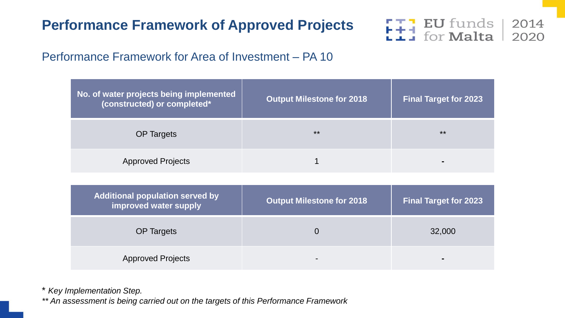

#### Performance Framework for Area of Investment – PA 10

| No. of water projects being implemented<br>(constructed) or completed* | <b>Output Milestone for 2018</b> | <b>Final Target for 2023</b> |
|------------------------------------------------------------------------|----------------------------------|------------------------------|
| <b>OP Targets</b>                                                      | $***$                            | $***$                        |
| <b>Approved Projects</b>                                               | 1                                |                              |
|                                                                        |                                  |                              |
| <b>Additional population served by</b><br>improved water supply        | <b>Output Milestone for 2018</b> | <b>Final Target for 2023</b> |
| <b>OP Targets</b>                                                      | $\overline{0}$                   | 32,000                       |
| <b>Approved Projects</b>                                               |                                  |                              |

\* *Key Implementation Step.*

*\*\* An assessment is being carried out on the targets of this Performance Framework*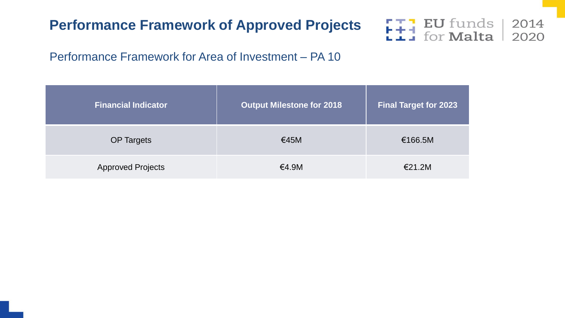

| <b>Financial Indicator</b> | <b>Output Milestone for 2018</b> | <b>Final Target for 2023</b> |
|----------------------------|----------------------------------|------------------------------|
| <b>OP Targets</b>          | €45M                             | €166.5M                      |
| <b>Approved Projects</b>   | €4.9M                            | €21.2M                       |